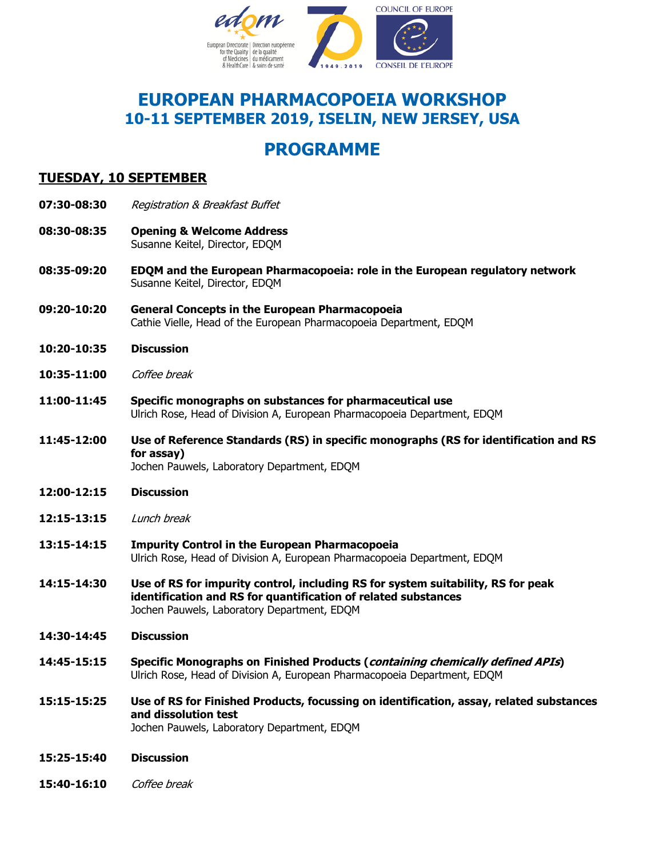

## **EUROPEAN PHARMACOPOEIA WORKSHOP 10-11 SEPTEMBER 2019, ISELIN, NEW JERSEY, USA**

# **PROGRAMME**

## **TUESDAY, 10 SEPTEMBER**

- **07:30-08:30** Registration & Breakfast Buffet
- **08:30-08:35 Opening & Welcome Address**  Susanne Keitel, Director, EDQM
- **08:35-09:20 EDQM and the European Pharmacopoeia: role in the European regulatory network**  Susanne Keitel, Director, EDQM
- **09:20-10:20 General Concepts in the European Pharmacopoeia**  Cathie Vielle, Head of the European Pharmacopoeia Department, EDQM
- **10:20-10:35 Discussion**
- **10:35-11:00** Coffee break
- **11:00-11:45 Specific monographs on substances for pharmaceutical use**  Ulrich Rose, Head of Division A, European Pharmacopoeia Department, EDQM
- **11:45-12:00 Use of Reference Standards (RS) in specific monographs (RS for identification and RS for assay)**  Jochen Pauwels, Laboratory Department, EDQM
- **12:00-12:15 Discussion**
- **12:15-13:15** Lunch break
- **13:15-14:15 Impurity Control in the European Pharmacopoeia**  Ulrich Rose, Head of Division A, European Pharmacopoeia Department, EDQM
- **14:15-14:30 Use of RS for impurity control, including RS for system suitability, RS for peak identification and RS for quantification of related substances**  Jochen Pauwels, Laboratory Department, EDQM
- **14:30-14:45 Discussion**
- **14:45-15:15 Specific Monographs on Finished Products (containing chemically defined APIs)**  Ulrich Rose, Head of Division A, European Pharmacopoeia Department, EDQM
- **15:15-15:25 Use of RS for Finished Products, focussing on identification, assay, related substances and dissolution test** Jochen Pauwels, Laboratory Department, EDQM
- **15:25-15:40 Discussion**
- **15:40-16:10** Coffee break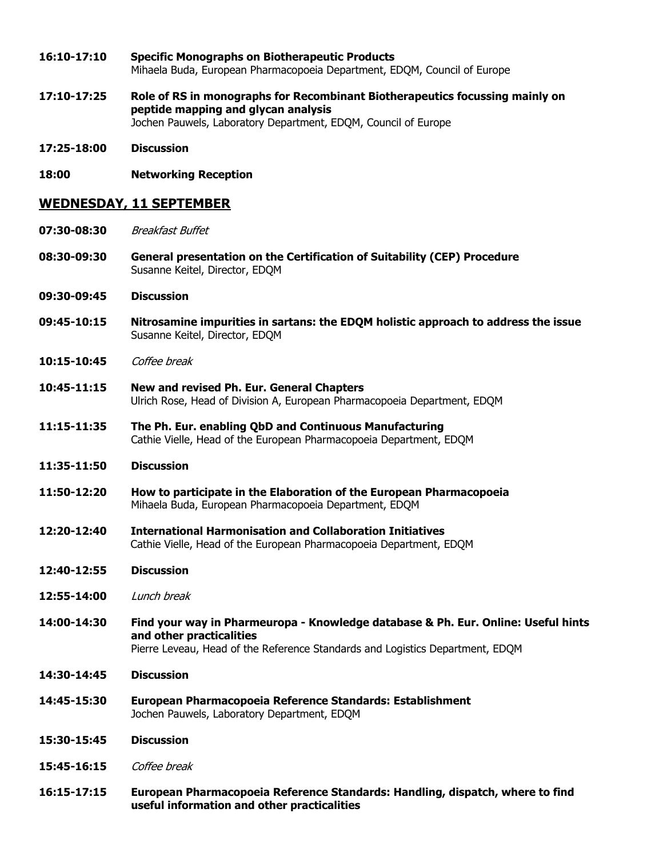- **16:10-17:10 Specific Monographs on Biotherapeutic Products**  Mihaela Buda, European Pharmacopoeia Department, EDQM, Council of Europe
- **17:10-17:25 Role of RS in monographs for Recombinant Biotherapeutics focussing mainly on peptide mapping and glycan analysis**  Jochen Pauwels, Laboratory Department, EDQM, Council of Europe
- **17:25-18:00 Discussion**
- **18:00 Networking Reception**

#### **WEDNESDAY, 11 SEPTEMBER**

- **07:30-08:30** Breakfast Buffet
- **08:30-09:30 General presentation on the Certification of Suitability (CEP) Procedure**  Susanne Keitel, Director, EDQM
- **09:30-09:45 Discussion**
- **09:45-10:15 Nitrosamine impurities in sartans: the EDQM holistic approach to address the issue** Susanne Keitel, Director, EDQM
- **10:15-10:45** Coffee break
- **10:45-11:15 New and revised Ph. Eur. General Chapters** Ulrich Rose, Head of Division A, European Pharmacopoeia Department, EDQM
- **11:15-11:35 The Ph. Eur. enabling QbD and Continuous Manufacturing** Cathie Vielle, Head of the European Pharmacopoeia Department, EDQM
- **11:35-11:50 Discussion**
- **11:50-12:20 How to participate in the Elaboration of the European Pharmacopoeia**  Mihaela Buda, European Pharmacopoeia Department, EDQM
- **12:20-12:40 International Harmonisation and Collaboration Initiatives**  Cathie Vielle, Head of the European Pharmacopoeia Department, EDQM
- **12:40-12:55 Discussion**
- **12:55-14:00** Lunch break
- **14:00-14:30 Find your way in Pharmeuropa Knowledge database & Ph. Eur. Online: Useful hints and other practicalities** 
	- Pierre Leveau, Head of the Reference Standards and Logistics Department, EDQM
- **14:30-14:45 Discussion**
- **14:45-15:30 European Pharmacopoeia Reference Standards: Establishment** Jochen Pauwels, Laboratory Department, EDQM
- **15:30-15:45 Discussion**
- **15:45-16:15** Coffee break
- **16:15-17:15 European Pharmacopoeia Reference Standards: Handling, dispatch, where to find useful information and other practicalities**